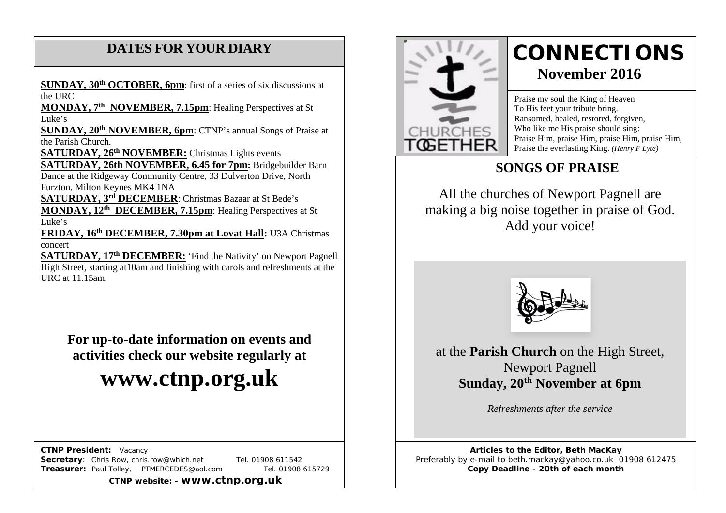## **DATES FOR YOUR DIARY**

**SUNDAY, 30th OCTOBER, 6pm**: first of a series of six discussions at the  $IIRC$ 

 **MONDAY, 7th NOVEMBER, 7.15pm**: Healing Perspectives at St Luke's

**SUNDAY, 20<sup>th</sup> NOVEMBER, 6pm**: CTNP's annual Songs of Praise at the Parish Church.

**SATURDAY, 26th NOVEMBER:** Christmas Lights events

**SATURDAY, 26th NOVEMBER, 6.45 for 7pm:** Bridgebuilder Barn Dance at the Ridgeway Community Centre, 33 Dulverton Drive, North Furzton, Milton Keynes MK4 1NA

**SATURDAY, 3rd DECEMBER**: Christmas Bazaar at St Bede's **MONDAY, 12th DECEMBER, 7.15pm**: Healing Perspectives at St Luke's

**FRIDAY, 16th DECEMBER, 7.30pm at Lovat Hall:** U3A Christmas concert

**SATURDAY, 17th DECEMBER:** 'Find the Nativity' on Newport Pagnell High Street, starting at10am and finishing with carols and refreshments at the URC at 11.15am.

**For up-to-date information on events and activities check our website regularly at**

# **www.ctnp.org.uk**

 **CTNP President:** Vacancy

**Secretary:** Chris Row, chris.row@which.net Tel. 01908 611542 **Treasurer:** Paul Tolley, PTMERCEDES@aol.com Tel. 01908 615729

**CTNP website: - www.ctnp.org.uk**



## **CONNECTIONS November 2016**

Praise my soul the King of Heaven To His feet your tribute bring. Ransomed, healed, restored, forgiven, Who like me His praise should sing: Praise Him, praise Him, praise Him, praise Him, Praise the everlasting King. *(Henry F Lyte)*

## **SONGS OF PRAISE**

All the churches of Newport Pagnell are making a big noise together in praise of God. Add your voice!



at the **Parish Church** on the High Street, Newport Pagnell **Sunday, 20th November at 6pm**

*Refreshments after the service*

**Articles to the Editor, Beth MacKay** Preferably by e-mail to beth.mackay@yahoo.co.uk 01908 612475 **Copy Deadline - 20th of each month**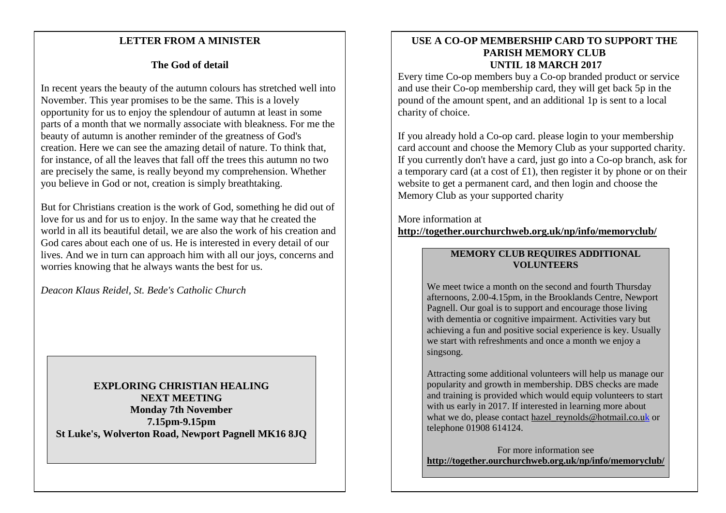#### mee **LETTER FROM A MINISTER**

#### **The God of detail**

In recent years the beauty of the autumn colours has stretched well into November. This year promises to be the same. This is a lovely opportunity for us to enjoy the splendour of autumn at least in some parts of a month that we normally associate with bleakness. For me the beauty of autumn is another reminder of the greatness of God's creation. Here we can see the amazing detail of nature. To think that, for instance, of all the leaves that fall off the trees this autumn no two are precisely the same, is really beyond my comprehension. Whether you believe in God or not, creation is simply breathtaking.

But for Christians creation is the work of God, something he did out of love for us and for us to enjoy. In the same way that he created the world in all its beautiful detail, we are also the work of his creation and God cares about each one of us. He is interested in every detail of our lives. And we in turn can approach him with all our joys, concerns and worries knowing that he always wants the best for us.

*Deacon Klaus Reidel, St. Bede's Catholic Church*

**EXPLORING CHRISTIAN HEALING NEXT MEETING Monday 7th November 7.15pm-9.15pm St Luke's, Wolverton Road, Newport Pagnell MK16 8JQ**

#### **USE A CO-OP MEMBERSHIP CARD TO SUPPORT THE PARISH MEMORY CLUB UNTIL 18 MARCH 2017**

Every time Co-op members buy a Co-op branded product or service and use their Co-op membership card, they will get back 5p in the pound of the amount spent, and an additional 1p is sent to a local charity of choice.

If you already hold a Co-op card. please login to your membership card account and choose the Memory Club as your supported charity. If you currently don't have a card, just go into a Co-op branch, ask for a temporary card (at a cost of £1), then register it by phone or on their website to get a permanent card, and then login and choose the Memory Club as your supported charity

More information at **<http://together.ourchurchweb.org.uk/np/info/memoryclub/>**

#### **MEMORY CLUB REQUIRES ADDITIONAL VOLUNTEERS**

We meet twice a month on the second and fourth Thursday afternoons, 2.00-4.15pm, in the Brooklands Centre, Newport Pagnell. Our goal is to support and encourage those living with dementia or cognitive impairment. Activities vary but achieving a fun and positive social experience is key. Usually we start with refreshments and once a month we enjoy a singsong.

Attracting some additional volunteers will help us manage our popularity and growth in membership. DBS checks are made and training is provided which would equip volunteers to start with us early in 2017. If interested in learning more about what we do, please contact hazel reynolds@hotmail.co.uk or telephone 01908 614124.

For more information see **<http://together.ourchurchweb.org.uk/np/info/memoryclub/>**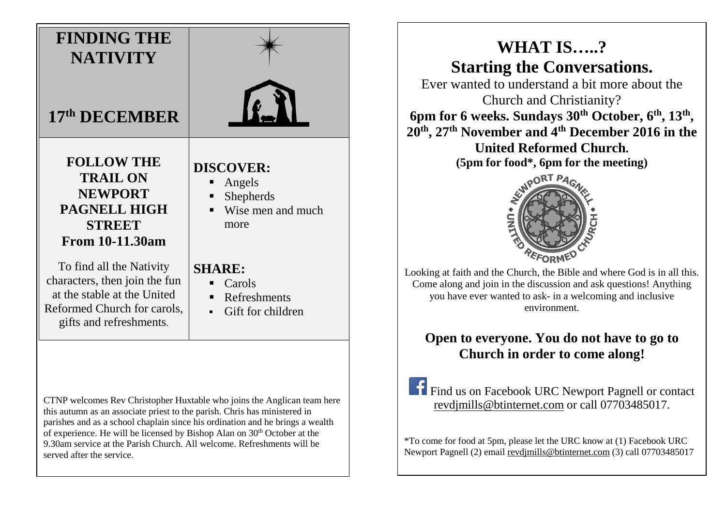## **FINDING THE NATIVITY 17th DECEMBER FOLLOW THE TRAIL ON NEWPORT PAGNELL HIGH DISCOVER: Angels** Shepherds

#### **STREET From 10-11.30am**

To find all the Nativity characters, then join the fun at the stable at the United Reformed Church for carols, gifts and refreshments.

**Wise men and much** more

#### **SHARE:**

- $\blacksquare$  Carols
- Refreshments
- Gift for children

CTNP welcomes Rev Christopher Huxtable who joins the Anglican team here this autumn as an associate priest to the parish. Chris has ministered in parishes and as a school chaplain since his ordination and he brings a wealth of experience. He will be licensed by Bishop Alan on  $30<sup>th</sup>$  October at the 9.30am service at the Parish Church. All welcome. Refreshments will be served after the service.

## **WHAT IS…..? Starting the Conversations.**

Ever wanted to understand a bit more about the Church and Christianity? **6pm for 6 weeks. Sundays 30th October, 6th, 13th ,** 

**20th, 27th November and 4th December 2016 in the United Reformed Church.**

**(5pm for food\*, 6pm for the meeting)**



Looking at faith and the Church, the Bible and where God is in all this. Come along and join in the discussion and ask questions! Anything you have ever wanted to ask- in a welcoming and inclusive environment.

## **Open to everyone. You do not have to go to Church in order to come along!**

Find us on Facebook URC Newport Pagnell or contact revdjmills@btinternet.com or call 07703485017.

\*To come for food at 5pm, please let the URC know at (1) Facebook URC Newport Pagnell (2) email [revdjmills@btinternet.com](mailto:revdjmills@btinternet.com) (3) call 07703485017